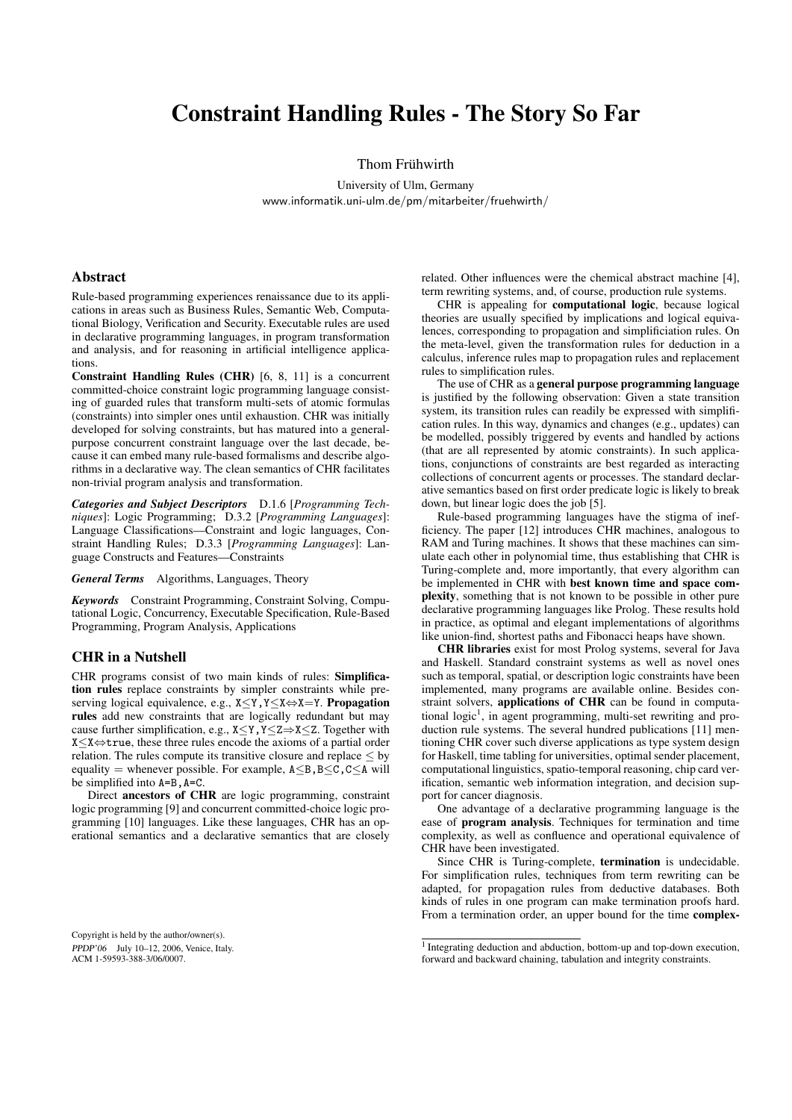# Constraint Handling Rules - The Story So Far

Thom Frühwirth

University of Ulm, Germany www.informatik.uni-ulm.de/pm/mitarbeiter/fruehwirth/

# Abstract

Rule-based programming experiences renaissance due to its applications in areas such as Business Rules, Semantic Web, Computational Biology, Verification and Security. Executable rules are used in declarative programming languages, in program transformation and analysis, and for reasoning in artificial intelligence applications.

Constraint Handling Rules (CHR) [6, 8, 11] is a concurrent committed-choice constraint logic programming language consisting of guarded rules that transform multi-sets of atomic formulas (constraints) into simpler ones until exhaustion. CHR was initially developed for solving constraints, but has matured into a generalpurpose concurrent constraint language over the last decade, because it can embed many rule-based formalisms and describe algorithms in a declarative way. The clean semantics of CHR facilitates non-trivial program analysis and transformation.

*Categories and Subject Descriptors* D.1.6 [*Programming Techniques*]: Logic Programming; D.3.2 [*Programming Languages*]: Language Classifications—Constraint and logic languages, Constraint Handling Rules; D.3.3 [*Programming Languages*]: Language Constructs and Features—Constraints

*General Terms* Algorithms, Languages, Theory

*Keywords* Constraint Programming, Constraint Solving, Computational Logic, Concurrency, Executable Specification, Rule-Based Programming, Program Analysis, Applications

### CHR in a Nutshell

CHR programs consist of two main kinds of rules: Simplification rules replace constraints by simpler constraints while preserving logical equivalence, e.g., X≤Y,Y≤X⇔X=Y. Propagation rules add new constraints that are logically redundant but may cause further simplification, e.g., X≤Y,Y≤Z⇒X≤Z. Together with X≤X⇔true, these three rules encode the axioms of a partial order relation. The rules compute its transitive closure and replace  $\leq$  by equality = whenever possible. For example,  $A \leq B$ ,  $B \leq C$ ,  $C \leq A$  will be simplified into A=B,A=C.

Direct ancestors of CHR are logic programming, constraint logic programming [9] and concurrent committed-choice logic programming [10] languages. Like these languages, CHR has an operational semantics and a declarative semantics that are closely

Copyright is held by the author/owner(s). PPDP'06 July 10–12, 2006, Venice, Italy. ACM 1-59593-388-3/06/0007.

related. Other influences were the chemical abstract machine [4], term rewriting systems, and, of course, production rule systems.

CHR is appealing for computational logic, because logical theories are usually specified by implications and logical equivalences, corresponding to propagation and simplificiation rules. On the meta-level, given the transformation rules for deduction in a calculus, inference rules map to propagation rules and replacement rules to simplification rules.

The use of CHR as a general purpose programming language is justified by the following observation: Given a state transition system, its transition rules can readily be expressed with simplification rules. In this way, dynamics and changes (e.g., updates) can be modelled, possibly triggered by events and handled by actions (that are all represented by atomic constraints). In such applications, conjunctions of constraints are best regarded as interacting collections of concurrent agents or processes. The standard declarative semantics based on first order predicate logic is likely to break down, but linear logic does the job [5].

Rule-based programming languages have the stigma of inefficiency. The paper [12] introduces CHR machines, analogous to RAM and Turing machines. It shows that these machines can simulate each other in polynomial time, thus establishing that CHR is Turing-complete and, more importantly, that every algorithm can be implemented in CHR with best known time and space complexity, something that is not known to be possible in other pure declarative programming languages like Prolog. These results hold in practice, as optimal and elegant implementations of algorithms like union-find, shortest paths and Fibonacci heaps have shown.

CHR libraries exist for most Prolog systems, several for Java and Haskell. Standard constraint systems as well as novel ones such as temporal, spatial, or description logic constraints have been implemented, many programs are available online. Besides constraint solvers, applications of CHR can be found in computational logic<sup>1</sup>, in agent programming, multi-set rewriting and production rule systems. The several hundred publications [11] mentioning CHR cover such diverse applications as type system design for Haskell, time tabling for universities, optimal sender placement, computational linguistics, spatio-temporal reasoning, chip card verification, semantic web information integration, and decision support for cancer diagnosis.

One advantage of a declarative programming language is the ease of program analysis. Techniques for termination and time complexity, as well as confluence and operational equivalence of CHR have been investigated.

Since CHR is Turing-complete, termination is undecidable. For simplification rules, techniques from term rewriting can be adapted, for propagation rules from deductive databases. Both kinds of rules in one program can make termination proofs hard. From a termination order, an upper bound for the time complex-

<sup>&</sup>lt;sup>1</sup> Integrating deduction and abduction, bottom-up and top-down execution, forward and backward chaining, tabulation and integrity constraints.